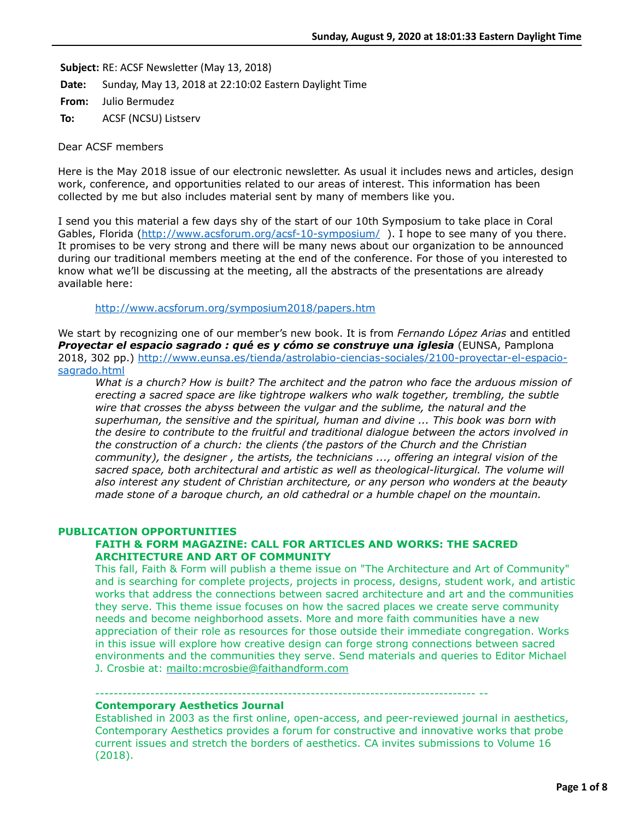**Subject:** RE: ACSF Newsletter (May 13, 2018)

**Date:** Sunday, May 13, 2018 at 22:10:02 Eastern Daylight Time

**From:** Julio Bermudez

**To:** ACSF (NCSU) Listserv

Dear ACSF members

Here is the May 2018 issue of our electronic newsletter. As usual it includes news and articles, design work, conference, and opportunities related to our areas of interest. This information has been collected by me but also includes material sent by many of members like you.

I send you this material a few days shy of the start of our 10th Symposium to take place in Coral Gables, Florida (<http://www.acsforum.org/acsf-10-symposium/>). I hope to see many of you there. It promises to be very strong and there will be many news about our organization to be announced during our traditional members meeting at the end of the conference. For those of you interested to know what we'll be discussing at the meeting, all the abstracts of the presentations are already available here:

<http://www.acsforum.org/symposium2018/papers.htm>

We start by recognizing one of our member's new book. It is from *Fernando López Arias* and entitled *Proyectar el espacio sagrado : qué es y cómo se construye una iglesia* (EUNSA, Pamplona [2018, 302 pp.\) http://www.eunsa.es/tienda/astrolabio-ciencias-sociales/2100-proyectar-el-espacio](http://www.eunsa.es/tienda/astrolabio-ciencias-sociales/2100-proyectar-el-espacio-sagrado.html)sagrado.html

*What is a church? How is built? The architect and the patron who face the arduous mission of erecting a sacred space are like tightrope walkers who walk together, trembling, the subtle wire that crosses the abyss between the vulgar and the sublime, the natural and the superhuman, the sensitive and the spiritual, human and divine ... This book was born with the desire to contribute to the fruitful and traditional dialogue between the actors involved in the construction of a church: the clients (the pastors of the Church and the Christian community), the designer , the artists, the technicians ..., offering an integral vision of the sacred space, both architectural and artistic as well as theological-liturgical. The volume will also interest any student of Christian architecture, or any person who wonders at the beauty made stone of a baroque church, an old cathedral or a humble chapel on the mountain.*

# **PUBLICATION OPPORTUNITIES**

# **FAITH & FORM MAGAZINE: CALL FOR ARTICLES AND WORKS: THE SACRED ARCHITECTURE AND ART OF COMMUNITY**

----------------------------------------------------------------------------------- --

This fall, Faith & Form will publish a theme issue on "The Architecture and Art of Community" and is searching for complete projects, projects in process, designs, student work, and artistic works that address the connections between sacred architecture and art and the communities they serve. This theme issue focuses on how the sacred places we create serve community needs and become neighborhood assets. More and more faith communities have a new appreciation of their role as resources for those outside their immediate congregation. Works in this issue will explore how creative design can forge strong connections between sacred environments and the communities they serve. Send materials and queries to Editor Michael J. Crosbie at: <mailto:mcrosbie@faithandform.com>

### **Contemporary Aesthetics Journal**

Established in 2003 as the first online, open-access, and peer-reviewed journal in aesthetics, Contemporary Aesthetics provides a forum for constructive and innovative works that probe current issues and stretch the borders of aesthetics. CA invites submissions to Volume 16 (2018).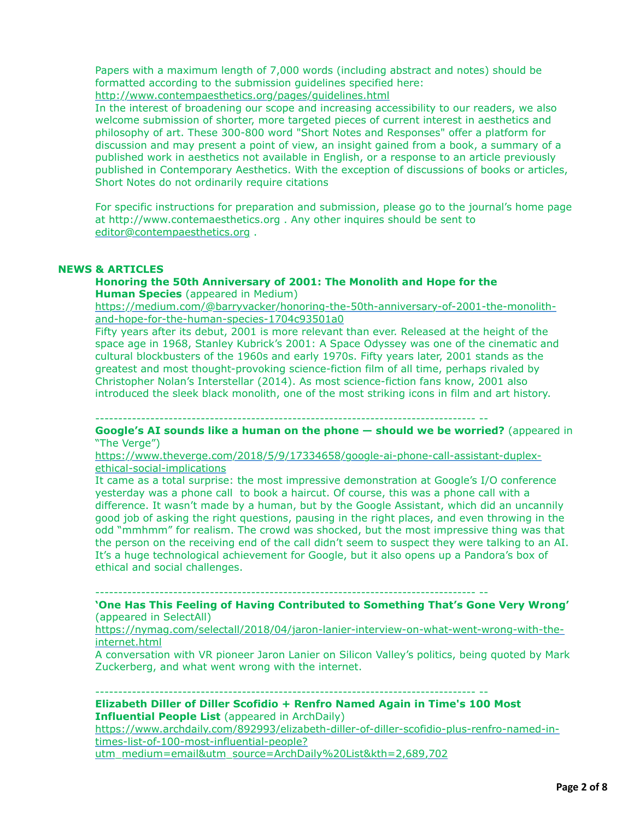Papers with a maximum length of 7,000 words (including abstract and notes) should be formatted according to the submission guidelines specified here: <http://www.contempaesthetics.org/pages/guidelines.html>

In the interest of broadening our scope and increasing accessibility to our readers, we also welcome submission of shorter, more targeted pieces of current interest in aesthetics and philosophy of art. These 300-800 word "Short Notes and Responses" offer a platform for discussion and may present a point of view, an insight gained from a book, a summary of a published work in aesthetics not available in English, or a response to an article previously published in Contemporary Aesthetics. With the exception of discussions of books or articles, Short Notes do not ordinarily require citations

For specific instructions for preparation and submission, please go to the journal's home page at http://www.contemaesthetics.org . Any other inquires should be sent to [editor@contempaesthetics.org](mailto:editor@contempaesthetics.org) .

# **NEWS & ARTICLES**

### **Honoring the 50th Anniversary of 2001: The Monolith and Hope for the Human Species** (appeared in Medium)

[https://medium.com/@barryvacker/honoring-the-50th-anniversary-of-2001-the-monolith](https://medium.com/@barryvacker/honoring-the-50th-anniversary-of-2001-the-monolith-and-hope-for-the-human-species-1704c93501a0)and-hope-for-the-human-species-1704c93501a0

Fifty years after its debut, 2001 is more relevant than ever. Released at the height of the space age in 1968, Stanley Kubrick's 2001: A Space Odyssey was one of the cinematic and cultural blockbusters of the 1960s and early 1970s. Fifty years later, 2001 stands as the greatest and most thought-provoking science-fiction film of all time, perhaps rivaled by Christopher Nolan's Interstellar (2014). As most science-fiction fans know, 2001 also introduced the sleek black monolith, one of the most striking icons in film and art history.

----------------------------------------------------------------------------------- --

**Google's AI sounds like a human on the phone — should we be worried?** (appeared in "The Verge")

[https://www.theverge.com/2018/5/9/17334658/google-ai-phone-call-assistant-duplex](https://www.theverge.com/2018/5/9/17334658/google-ai-phone-call-assistant-duplex-ethical-social-implications)ethical-social-implications

It came as a total surprise: the most impressive demonstration at Google's I/O conference yesterday was a phone call to book a haircut. Of course, this was a phone call with a difference. It wasn't made by a human, but by the Google Assistant, which did an uncannily good job of asking the right questions, pausing in the right places, and even throwing in the odd "mmhmm" for realism. The crowd was shocked, but the most impressive thing was that the person on the receiving end of the call didn't seem to suspect they were talking to an AI. It's a huge technological achievement for Google, but it also opens up a Pandora's box of ethical and social challenges.

----------------------------------------------------------------------------------- --

# **'One Has This Feeling of Having Contributed to Something That's Gone Very Wrong'** (appeared in SelectAll)

[https://nymag.com/selectall/2018/04/jaron-lanier-interview-on-what-went-wrong-with-the](https://nymag.com/selectall/2018/04/jaron-lanier-interview-on-what-went-wrong-with-the-internet.html)internet.html

A conversation with VR pioneer Jaron Lanier on Silicon Valley's politics, being quoted by Mark Zuckerberg, and what went wrong with the internet.

#### ----------------------------------------------------------------------------------- --

**Elizabeth Diller of Diller Scofidio + Renfro Named Again in Time's 100 Most Influential People List** (appeared in ArchDaily) [https://www.archdaily.com/892993/elizabeth-diller-of-diller-scofidio-plus-renfro-named-in-](https://www.archdaily.com/892993/elizabeth-diller-of-diller-scofidio-plus-renfro-named-in-times-list-of-100-most-influential-people?utm_medium=email&utm_source=ArchDaily%20List&kth=2,689,702)

times-list-of-100-most-influential-people? utm\_medium=email&utm\_source=ArchDaily%20List&kth=2,689,702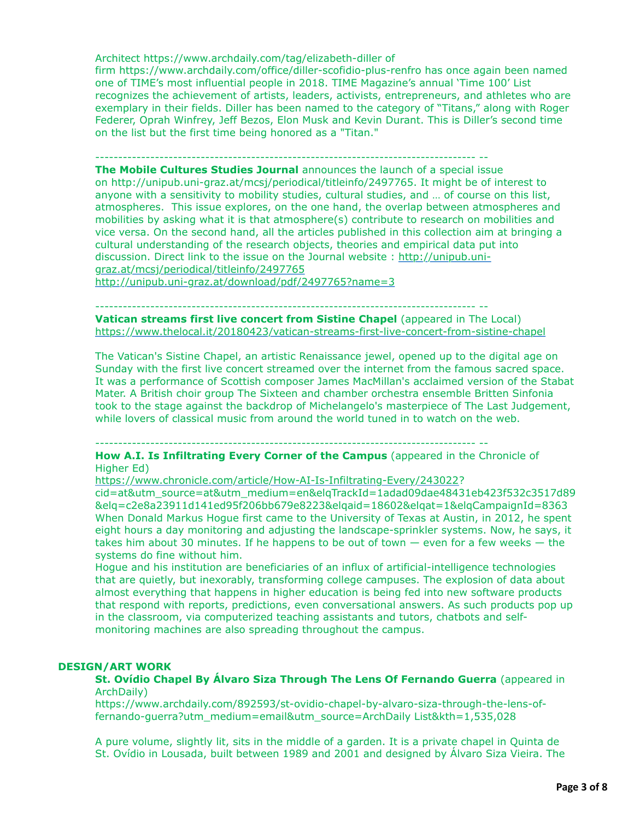Architect https://www.archdaily.com/tag/elizabeth-diller of

firm https://www.archdaily.com/office/diller-scofidio-plus-renfro has once again been named one of TIME's most influential people in 2018. TIME Magazine's annual 'Time 100' List recognizes the achievement of artists, leaders, activists, entrepreneurs, and athletes who are exemplary in their fields. Diller has been named to the category of "Titans," along with Roger Federer, Oprah Winfrey, Jeff Bezos, Elon Musk and Kevin Durant. This is Diller's second time on the list but the first time being honored as a "Titan."

----------------------------------------------------------------------------------- --

**The Mobile Cultures Studies Journal** announces the launch of a special issue on http://unipub.uni-graz.at/mcsj/periodical/titleinfo/2497765. It might be of interest to anyone with a sensitivity to mobility studies, cultural studies, and … of course on this list, atmospheres. This issue explores, on the one hand, the overlap between atmospheres and mobilities by asking what it is that atmosphere(s) contribute to research on mobilities and vice versa. On the second hand, all the articles published in this collection aim at bringing a cultural understanding of the research objects, theories and empirical data put into [discussion. Direct link to the issue on the Journal website : http://unipub.uni](http://unipub.uni-graz.at/mcsj/periodical/titleinfo/2497765)graz.at/mcsj/periodical/titleinfo/2497765

<http://unipub.uni-graz.at/download/pdf/2497765?name=3>

----------------------------------------------------------------------------------- --

**Vatican streams first live concert from Sistine Chapel** (appeared in The Local) <https://www.thelocal.it/20180423/vatican-streams-first-live-concert-from-sistine-chapel>

The Vatican's Sistine Chapel, an artistic Renaissance jewel, opened up to the digital age on Sunday with the first live concert streamed over the internet from the famous sacred space. It was a performance of Scottish composer James MacMillan's acclaimed version of the Stabat Mater. A British choir group The Sixteen and chamber orchestra ensemble Britten Sinfonia took to the stage against the backdrop of Michelangelo's masterpiece of The Last Judgement, while lovers of classical music from around the world tuned in to watch on the web.

----------------------------------------------------------------------------------- --

**How A.I. Is Infiltrating Every Corner of the Campus** (appeared in the Chronicle of Higher Ed)

[https://www.chronicle.com/article/How-AI-Is-Infiltrating-Every/243022?](https://www.chronicle.com/article/How-AI-Is-Infiltrating-Every/243022)

cid=at&utm\_source=at&utm\_medium=en&elqTrackId=1adad09dae48431eb423f532c3517d89 &elq=c2e8a23911d141ed95f206bb679e8223&elqaid=18602&elqat=1&elqCampaignId=8363 When Donald Markus Hogue first came to the University of Texas at Austin, in 2012, he spent eight hours a day monitoring and adjusting the landscape-sprinkler systems. Now, he says, it takes him about 30 minutes. If he happens to be out of town  $-$  even for a few weeks  $-$  the systems do fine without him.

Hogue and his institution are beneficiaries of an influx of artificial-intelligence technologies that are quietly, but inexorably, transforming college campuses. The explosion of data about almost everything that happens in higher education is being fed into new software products that respond with reports, predictions, even conversational answers. As such products pop up in the classroom, via computerized teaching assistants and tutors, chatbots and selfmonitoring machines are also spreading throughout the campus.

### **DESIGN/ART WORK**

**St. Ovídio Chapel By Álvaro Siza Through The Lens Of Fernando Guerra** (appeared in ArchDaily)

https://www.archdaily.com/892593/st-ovidio-chapel-by-alvaro-siza-through-the-lens-offernando-guerra?utm\_medium=email&utm\_source=ArchDaily List&kth=1,535,028

A pure volume, slightly lit, sits in the middle of a garden. It is a private chapel in Quinta de St. Ovídio in Lousada, built between 1989 and 2001 and designed by Álvaro Siza Vieira. The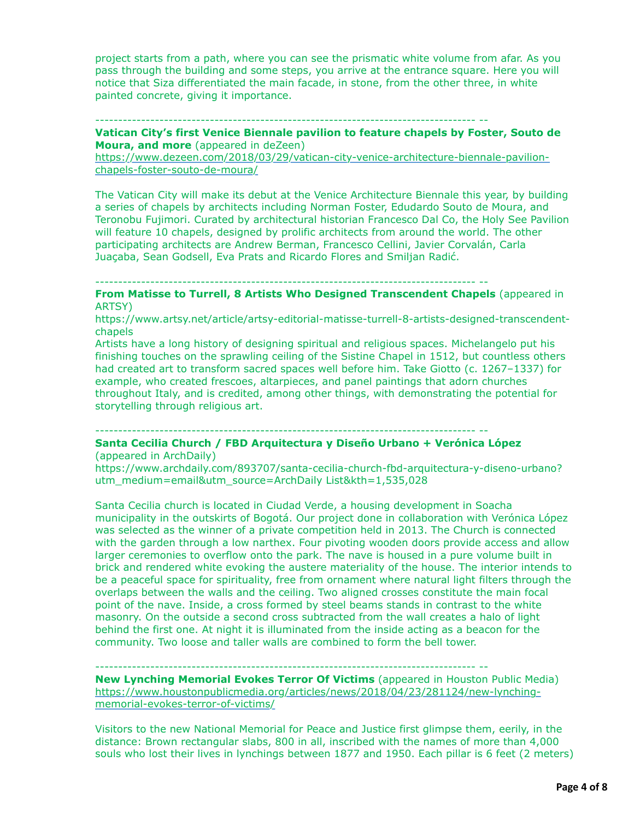project starts from a path, where you can see the prismatic white volume from afar. As you pass through the building and some steps, you arrive at the entrance square. Here you will notice that Siza differentiated the main facade, in stone, from the other three, in white painted concrete, giving it importance.

----------------------------------------------------------------------------------- --

**Vatican City's first Venice Biennale pavilion to feature chapels by Foster, Souto de Moura, and more** (appeared in deZeen)

[https://www.dezeen.com/2018/03/29/vatican-city-venice-architecture-biennale-pavilion](https://www.dezeen.com/2018/03/29/vatican-city-venice-architecture-biennale-pavilion-chapels-foster-souto-de-moura/)chapels-foster-souto-de-moura/

The Vatican City will make its debut at the Venice Architecture Biennale this year, by building a series of chapels by architects including Norman Foster, Edudardo Souto de Moura, and Teronobu Fujimori. Curated by architectural historian Francesco Dal Co, the Holy See Pavilion will feature 10 chapels, designed by prolific architects from around the world. The other participating architects are Andrew Berman, Francesco Cellini, Javier Corvalán, Carla Juaçaba, Sean Godsell, Eva Prats and Ricardo Flores and Smiljan Radić.

----------------------------------------------------------------------------------- --

**From Matisse to Turrell, 8 Artists Who Designed Transcendent Chapels** (appeared in ARTSY)

https://www.artsy.net/article/artsy-editorial-matisse-turrell-8-artists-designed-transcendentchapels

Artists have a long history of designing spiritual and religious spaces. Michelangelo put his finishing touches on the sprawling ceiling of the Sistine Chapel in 1512, but countless others had created art to transform sacred spaces well before him. Take Giotto (c. 1267–1337) for example, who created frescoes, altarpieces, and panel paintings that adorn churches throughout Italy, and is credited, among other things, with demonstrating the potential for storytelling through religious art.

----------------------------------------------------------------------------------- --

### **Santa Cecilia Church / FBD Arquitectura y Diseño Urbano + Verónica López** (appeared in ArchDaily)

https://www.archdaily.com/893707/santa-cecilia-church-fbd-arquitectura-y-diseno-urbano? utm\_medium=email&utm\_source=ArchDaily List&kth=1,535,028

Santa Cecilia church is located in Ciudad Verde, a housing development in Soacha municipality in the outskirts of Bogotá. Our project done in collaboration with Verónica López was selected as the winner of a private competition held in 2013. The Church is connected with the garden through a low narthex. Four pivoting wooden doors provide access and allow larger ceremonies to overflow onto the park. The nave is housed in a pure volume built in brick and rendered white evoking the austere materiality of the house. The interior intends to be a peaceful space for spirituality, free from ornament where natural light filters through the overlaps between the walls and the ceiling. Two aligned crosses constitute the main focal point of the nave. Inside, a cross formed by steel beams stands in contrast to the white masonry. On the outside a second cross subtracted from the wall creates a halo of light behind the first one. At night it is illuminated from the inside acting as a beacon for the community. Two loose and taller walls are combined to form the bell tower.

----------------------------------------------------------------------------------- --

**New Lynching Memorial Evokes Terror Of Victims** (appeared in Houston Public Media) [https://www.houstonpublicmedia.org/articles/news/2018/04/23/281124/new-lynching](https://www.houstonpublicmedia.org/articles/news/2018/04/23/281124/new-lynching-memorial-evokes-terror-of-victims/)memorial-evokes-terror-of-victims/

Visitors to the new National Memorial for Peace and Justice first glimpse them, eerily, in the distance: Brown rectangular slabs, 800 in all, inscribed with the names of more than 4,000 souls who lost their lives in lynchings between 1877 and 1950. Each pillar is 6 feet (2 meters)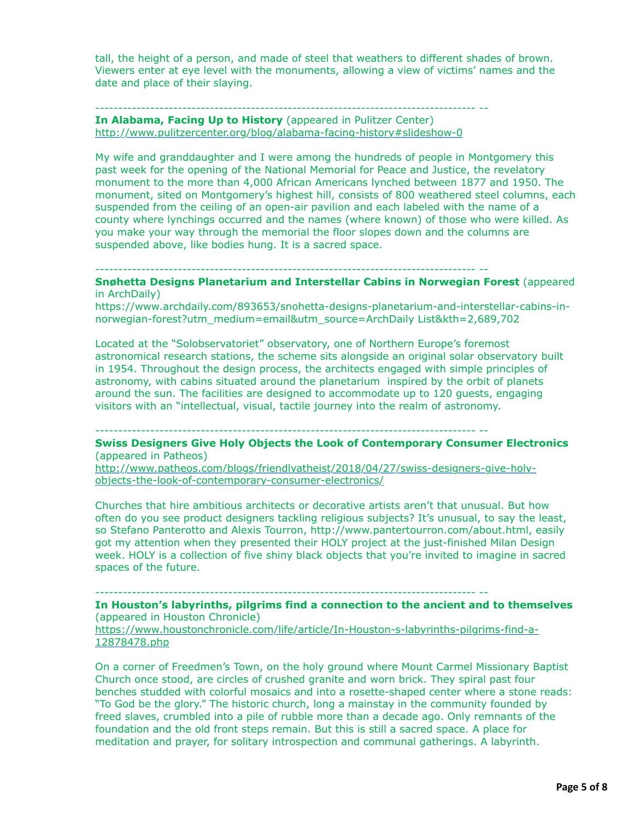tall, the height of a person, and made of steel that weathers to different shades of brown. Viewers enter at eye level with the monuments, allowing a view of victims' names and the date and place of their slaying.

### ----------------------------------------------------------------------------------- -- **In Alabama, Facing Up to History** (appeared in Pulitzer Center) <http://www.pulitzercenter.org/blog/alabama-facing-history#slideshow-0>

My wife and granddaughter and I were among the hundreds of people in Montgomery this past week for the opening of the National Memorial for Peace and Justice, the revelatory monument to the more than 4,000 African Americans lynched between 1877 and 1950. The monument, sited on Montgomery's highest hill, consists of 800 weathered steel columns, each suspended from the ceiling of an open-air pavilion and each labeled with the name of a county where lynchings occurred and the names (where known) of those who were killed. As you make your way through the memorial the floor slopes down and the columns are suspended above, like bodies hung. It is a sacred space.

----------------------------------------------------------------------------------- --

**Snøhetta Designs Planetarium and Interstellar Cabins in Norwegian Forest** (appeared in ArchDaily)

https://www.archdaily.com/893653/snohetta-designs-planetarium-and-interstellar-cabins-innorwegian-forest?utm\_medium=email&utm\_source=ArchDaily List&kth=2,689,702

Located at the "Solobservatoriet" observatory, one of Northern Europe's foremost astronomical research stations, the scheme sits alongside an original solar observatory built in 1954. Throughout the design process, the architects engaged with simple principles of astronomy, with cabins situated around the planetarium inspired by the orbit of planets around the sun. The facilities are designed to accommodate up to 120 guests, engaging visitors with an "intellectual, visual, tactile journey into the realm of astronomy.

----------------------------------------------------------------------------------- --

**Swiss Designers Give Holy Objects the Look of Contemporary Consumer Electronics** (appeared in Patheos)

[http://www.patheos.com/blogs/friendlyatheist/2018/04/27/swiss-designers-give-holy](http://www.patheos.com/blogs/friendlyatheist/2018/04/27/swiss-designers-give-holy-objects-the-look-of-contemporary-consumer-electronics/)objects-the-look-of-contemporary-consumer-electronics/

Churches that hire ambitious architects or decorative artists aren't that unusual. But how often do you see product designers tackling religious subjects? It's unusual, to say the least, so Stefano Panterotto and Alexis Tourron, http://www.pantertourron.com/about.html, easily got my attention when they presented their HOLY project at the just-finished Milan Design week. HOLY is a collection of five shiny black objects that you're invited to imagine in sacred spaces of the future.

----------------------------------------------------------------------------------- --

**In Houston's labyrinths, pilgrims find a connection to the ancient and to themselves** (appeared in Houston Chronicle)

[https://www.houstonchronicle.com/life/article/In-Houston-s-labyrinths-pilgrims-find-a-](https://www.houstonchronicle.com/life/article/In-Houston-s-labyrinths-pilgrims-find-a-12878478.php)12878478.php

On a corner of Freedmen's Town, on the holy ground where Mount Carmel Missionary Baptist Church once stood, are circles of crushed granite and worn brick. They spiral past four benches studded with colorful mosaics and into a rosette-shaped center where a stone reads: "To God be the glory." The historic church, long a mainstay in the community founded by freed slaves, crumbled into a pile of rubble more than a decade ago. Only remnants of the foundation and the old front steps remain. But this is still a sacred space. A place for meditation and prayer, for solitary introspection and communal gatherings. A labyrinth.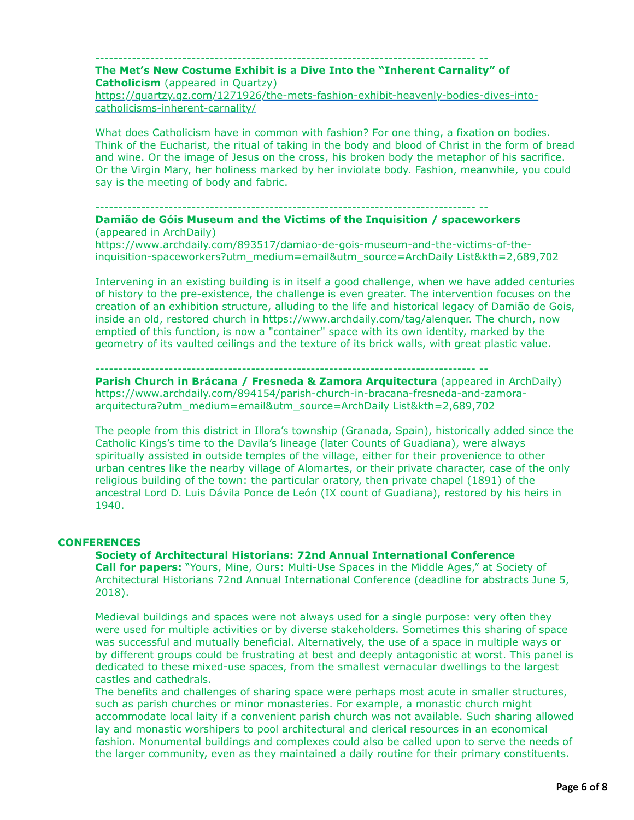### ----------------------------------------------------------------------------------- -- **The Met's New Costume Exhibit is a Dive Into the "Inherent Carnality" of Catholicism** (appeared in Quartzy)

[https://quartzy.qz.com/1271926/the-mets-fashion-exhibit-heavenly-bodies-dives-into](https://quartzy.qz.com/1271926/the-mets-fashion-exhibit-heavenly-bodies-dives-into-catholicisms-inherent-carnality/)catholicisms-inherent-carnality/

What does Catholicism have in common with fashion? For one thing, a fixation on bodies. Think of the Eucharist, the ritual of taking in the body and blood of Christ in the form of bread and wine. Or the image of Jesus on the cross, his broken body the metaphor of his sacrifice. Or the Virgin Mary, her holiness marked by her inviolate body. Fashion, meanwhile, you could say is the meeting of body and fabric.

#### ----------------------------------------------------------------------------------- --

### **Damião de Góis Museum and the Victims of the Inquisition / spaceworkers** (appeared in ArchDaily)

https://www.archdaily.com/893517/damiao-de-gois-museum-and-the-victims-of-theinquisition-spaceworkers?utm\_medium=email&utm\_source=ArchDaily List&kth=2,689,702

Intervening in an existing building is in itself a good challenge, when we have added centuries of history to the pre-existence, the challenge is even greater. The intervention focuses on the creation of an exhibition structure, alluding to the life and historical legacy of Damião de Gois, inside an old, restored church in https://www.archdaily.com/tag/alenquer. The church, now emptied of this function, is now a "container" space with its own identity, marked by the geometry of its vaulted ceilings and the texture of its brick walls, with great plastic value.

## ----------------------------------------------------------------------------------- --

**Parish Church in Brácana / Fresneda & Zamora Arquitectura** (appeared in ArchDaily) https://www.archdaily.com/894154/parish-church-in-bracana-fresneda-and-zamoraarquitectura?utm\_medium=email&utm\_source=ArchDaily List&kth=2,689,702

The people from this district in Illora's township (Granada, Spain), historically added since the Catholic Kings's time to the Davila's lineage (later Counts of Guadiana), were always spiritually assisted in outside temples of the village, either for their provenience to other urban centres like the nearby village of Alomartes, or their private character, case of the only religious building of the town: the particular oratory, then private chapel (1891) of the ancestral Lord D. Luis Dávila Ponce de León (IX count of Guadiana), restored by his heirs in 1940.

# **CONFERENCES**

**Society of Architectural Historians: 72nd Annual International Conference Call for papers:** "Yours, Mine, Ours: Multi-Use Spaces in the Middle Ages," at Society of Architectural Historians 72nd Annual International Conference (deadline for abstracts June 5, 2018).

Medieval buildings and spaces were not always used for a single purpose: very often they were used for multiple activities or by diverse stakeholders. Sometimes this sharing of space was successful and mutually beneficial. Alternatively, the use of a space in multiple ways or by different groups could be frustrating at best and deeply antagonistic at worst. This panel is dedicated to these mixed-use spaces, from the smallest vernacular dwellings to the largest castles and cathedrals.

The benefits and challenges of sharing space were perhaps most acute in smaller structures, such as parish churches or minor monasteries. For example, a monastic church might accommodate local laity if a convenient parish church was not available. Such sharing allowed lay and monastic worshipers to pool architectural and clerical resources in an economical fashion. Monumental buildings and complexes could also be called upon to serve the needs of the larger community, even as they maintained a daily routine for their primary constituents.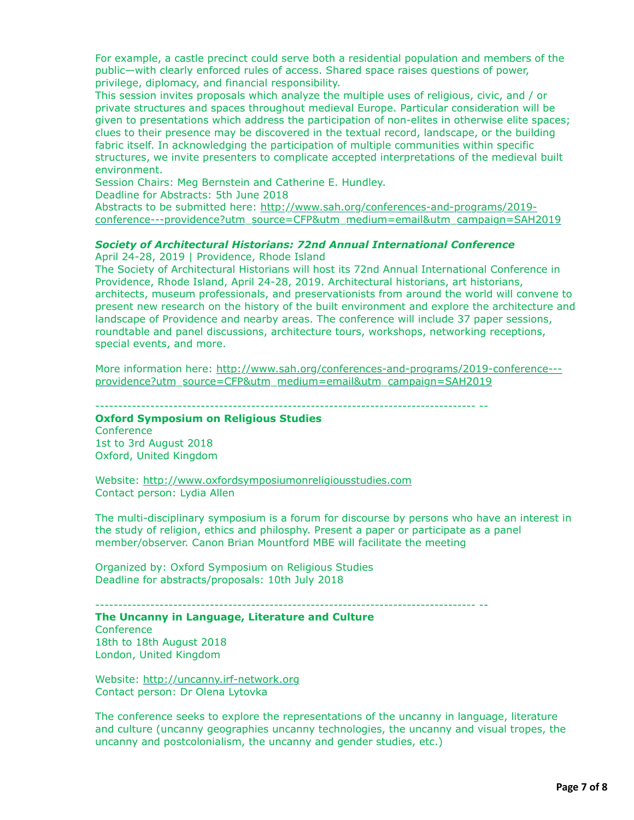For example, a castle precinct could serve both a residential population and members of the public—with clearly enforced rules of access. Shared space raises questions of power, privilege, diplomacy, and financial responsibility.

This session invites proposals which analyze the multiple uses of religious, civic, and / or private structures and spaces throughout medieval Europe. Particular consideration will be given to presentations which address the participation of non-elites in otherwise elite spaces; clues to their presence may be discovered in the textual record, landscape, or the building fabric itself. In acknowledging the participation of multiple communities within specific structures, we invite presenters to complicate accepted interpretations of the medieval built environment.

Session Chairs: Meg Bernstein and Catherine E. Hundley.

Deadline for Abstracts: 5th June 2018

Abstracts to be submitted here: http://www.sah.org/conferences-and-programs/2019[conference---providence?utm\\_source=CFP&utm\\_medium=email&utm\\_campaign=SAH2019](http://www.sah.org/conferences-and-programs/2019-conference---providence?utm_source=CFP&utm_medium=email&utm_campaign=SAH2019)

## *Society of Architectural Historians: 72nd Annual International Conference*

April 24-28, 2019 | Providence, Rhode Island The Society of Architectural Historians will host its 72nd Annual International Conference in Providence, Rhode Island, April 24-28, 2019. Architectural historians, art historians, architects, museum professionals, and preservationists from around the world will convene to present new research on the history of the built environment and explore the architecture and landscape of Providence and nearby areas. The conference will include 37 paper sessions, roundtable and panel discussions, architecture tours, workshops, networking receptions, special events, and more.

[More information here: http://www.sah.org/conferences-and-programs/2019-conference--](http://www.sah.org/conferences-and-programs/2019-conference---providence?utm_source=CFP&utm_medium=email&utm_campaign=SAH2019) providence?utm\_source=CFP&utm\_medium=email&utm\_campaign=SAH2019

----------------------------------------------------------------------------------- --

### **Oxford Symposium on Religious Studies**

**Conference** 1st to 3rd August 2018 Oxford, United Kingdom

Website: [http://www.oxfordsymposiumonreligiousstudies.com](http://www.oxfordsymposiumonreligiousstudies.com/)  Contact person: Lydia Allen

The multi-disciplinary symposium is a forum for discourse by persons who have an interest in the study of religion, ethics and philosphy. Present a paper or participate as a panel member/observer. Canon Brian Mountford MBE will facilitate the meeting

Organized by: Oxford Symposium on Religious Studies Deadline for abstracts/proposals: 10th July 2018

----------------------------------------------------------------------------------- --

# **The Uncanny in Language, Literature and Culture**

**Conference** 18th to 18th August 2018 London, United Kingdom

Website: [http://uncanny.irf-network.org](http://uncanny.irf-network.org/) Contact person: Dr Olena Lytovka

The conference seeks to explore the representations of the uncanny in language, literature and culture (uncanny geographies uncanny technologies, the uncanny and visual tropes, the uncanny and postcolonialism, the uncanny and gender studies, etc.)